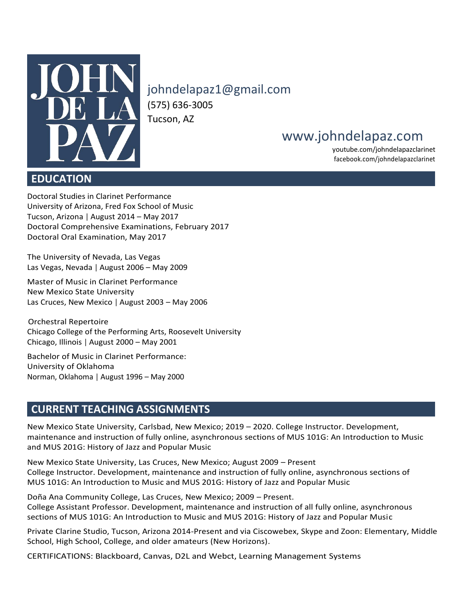

[johndelapaz1@gmail.com](mailto:JohnDeLaPaz1@gmail.com) (575) 636-3005 Tucson, AZ

# [www.johndelapaz.com](http://www.johndelapaz.com/)

youtube.com/johndelapazclarinet facebook.com/johndelapazclarinet

# **EDUCATION**

Doctoral Studies in Clarinet Performance University of Arizona, Fred Fox School of Music Tucson, Arizona | August 2014 – May 2017 Doctoral Comprehensive Examinations, February 2017 Doctoral Oral Examination, May 2017

The University of Nevada, Las Vegas Las Vegas, Nevada | August 2006 – May 2009

Master of Music in Clarinet Performance New Mexico State University Las Cruces, New Mexico | August 2003 – May 2006

 Orchestral Repertoire Chicago College of the Performing Arts, Roosevelt University Chicago, Illinois | August 2000 – May 2001

Bachelor of Music in Clarinet Performance: University of Oklahoma Norman, Oklahoma | August 1996 – May 2000

# **CURRENT TEACHING ASSIGNMENTS**

New Mexico State University, Carlsbad, New Mexico; 2019 – 2020. College Instructor. Development, maintenance and instruction of fully online, asynchronous sections of MUS 101G: An Introduction to Music and MUS 201G: History of Jazz and Popular Music

New Mexico State University, Las Cruces, New Mexico; August 2009 – Present College Instructor. Development, maintenance and instruction of fully online, asynchronous sections of MUS 101G: An Introduction to Music and MUS 201G: History of Jazz and Popular Music

Doña Ana Community College, Las Cruces, New Mexico; 2009 – Present. College Assistant Professor. Development, maintenance and instruction of all fully online, asynchronous sections of MUS 101G: An Introduction to Music and MUS 201G: History of Jazz and Popular Music

Private Clarine Studio, Tucson, Arizona 2014-Present and via Ciscowebex, Skype and Zoon: Elementary, Middle School, High School, College, and older amateurs (New Horizons).

CERTIFICATIONS: Blackboard, Canvas, D2L and Webct, Learning Management Systems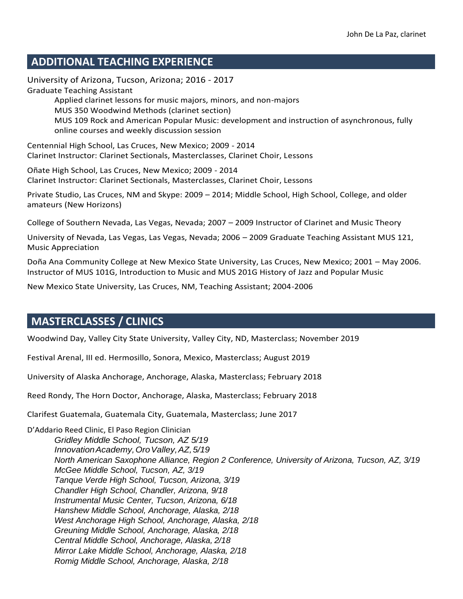# **ADDITIONAL TEACHING EXPERIENCE**

University of Arizona, Tucson, Arizona; 2016 - 2017 Graduate Teaching Assistant Applied clarinet lessons for music majors, minors, and non-majors MUS 350 Woodwind Methods (clarinet section) MUS 109 Rock and American Popular Music: development and instruction of asynchronous, fully online courses and weekly discussion session

Centennial High School, Las Cruces, New Mexico; 2009 - 2014 Clarinet Instructor: Clarinet Sectionals, Masterclasses, Clarinet Choir, Lessons

Oñate High School, Las Cruces, New Mexico; 2009 - 2014 Clarinet Instructor: Clarinet Sectionals, Masterclasses, Clarinet Choir, Lessons

Private Studio, Las Cruces, NM and Skype: 2009 – 2014; Middle School, High School, College, and older amateurs (New Horizons)

College of Southern Nevada, Las Vegas, Nevada; 2007 – 2009 Instructor of Clarinet and Music Theory

University of Nevada, Las Vegas, Las Vegas, Nevada; 2006 – 2009 Graduate Teaching Assistant MUS 121, Music Appreciation

Doña Ana Community College at New Mexico State University, Las Cruces, New Mexico; 2001 – May 2006. Instructor of MUS 101G, Introduction to Music and MUS 201G History of Jazz and Popular Music

New Mexico State University, Las Cruces, NM, Teaching Assistant; 2004-2006

# **MASTERCLASSES / CLINICS**

Woodwind Day, Valley City State University, Valley City, ND, Masterclass; November 2019

Festival Arenal, III ed. Hermosillo, Sonora, Mexico, Masterclass; August 2019

University of Alaska Anchorage, Anchorage, Alaska, Masterclass; February 2018

Reed Rondy, The Horn Doctor, Anchorage, Alaska, Masterclass; February 2018

Clarifest Guatemala, Guatemala City, Guatemala, Masterclass; June 2017

D'Addario Reed Clinic, El Paso Region Clinician *Gridley Middle School, Tucson, AZ 5/19 Innovation Academy, Oro Valley, AZ, 5/19 North American Saxophone Alliance, Region 2 Conference, University of Arizona, Tucson, AZ, 3/19 McGee Middle School, Tucson, AZ, 3/19 Tanque Verde High School, Tucson, Arizona, 3/19 Chandler High School, Chandler, Arizona, 9/18 Instrumental Music Center, Tucson, Arizona, 6/18 Hanshew Middle School, Anchorage, Alaska, 2/18 West Anchorage High School, Anchorage, Alaska, 2/18 Greuning Middle School, Anchorage, Alaska, 2/18 Central Middle School, Anchorage, Alaska, 2/18 Mirror Lake Middle School, Anchorage, Alaska, 2/18 Romig Middle School, Anchorage, Alaska, 2/18*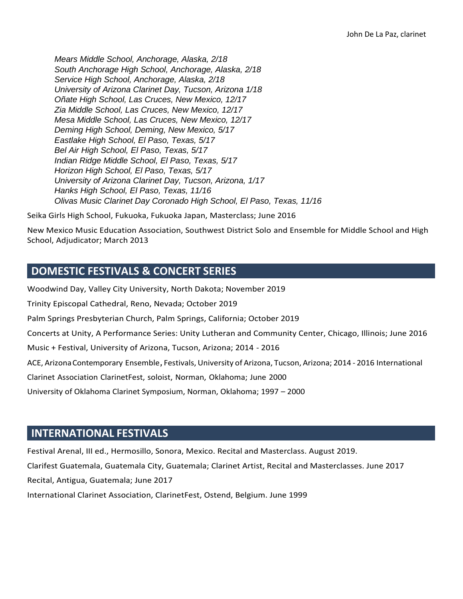*Mears Middle School, Anchorage, Alaska, 2/18 South Anchorage High School, Anchorage, Alaska, 2/18 Service High School, Anchorage, Alaska, 2/18 University of Arizona Clarinet Day, Tucson, Arizona 1/18 Oñate High School, Las Cruces, New Mexico, 12/17 Zia Middle School, Las Cruces, New Mexico, 12/17 Mesa Middle School, Las Cruces, New Mexico, 12/17 Deming High School, Deming, New Mexico, 5/17 Eastlake High School, El Paso, Texas, 5/17 Bel Air High School, El Paso, Texas, 5/17 Indian Ridge Middle School, El Paso, Texas, 5/17 Horizon High School, El Paso, Texas, 5/17 University of Arizona Clarinet Day, Tucson, Arizona, 1/17 Hanks High School, El Paso, Texas, 11/16 Olivas Music Clarinet Day Coronado High School, El Paso, Texas, 11/16*

Seika Girls High School, Fukuoka, Fukuoka Japan, Masterclass; June 2016

New Mexico Music Education Association, Southwest District Solo and Ensemble for Middle School and High School, Adjudicator; March 2013

# **DOMESTIC FESTIVALS & CONCERT SERIES**

Woodwind Day, Valley City University, North Dakota; November 2019 Trinity Episcopal Cathedral, Reno, Nevada; October 2019 Palm Springs Presbyterian Church, Palm Springs, California; October 2019 Concerts at Unity, A Performance Series: Unity Lutheran and Community Center, Chicago, Illinois; June 2016 Music + Festival, University of Arizona, Tucson, Arizona; 2014 - 2016 ACE, ArizonaContemporary Ensemble*,* Festivals,University of Arizona, Tucson, Arizona; 2014 - 2016 International Clarinet Association ClarinetFest, soloist, Norman, Oklahoma; June 2000 University of Oklahoma Clarinet Symposium, Norman, Oklahoma; 1997 – 2000

# **INTERNATIONAL FESTIVALS**

Festival Arenal, III ed., Hermosillo, Sonora, Mexico. Recital and Masterclass. August 2019. Clarifest Guatemala, Guatemala City, Guatemala; Clarinet Artist, Recital and Masterclasses. June 2017 Recital, Antigua, Guatemala; June 2017 International Clarinet Association, ClarinetFest, Ostend, Belgium. June 1999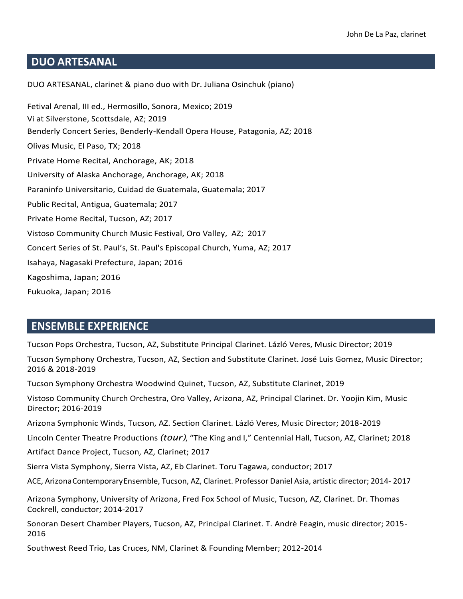# **DUO ARTESANAL**

DUO ARTESANAL, clarinet & piano duo with Dr. Juliana Osinchuk (piano) Fetival Arenal, III ed., Hermosillo, Sonora, Mexico; 2019 Vi at Silverstone, Scottsdale, AZ; 2019 Benderly Concert Series, Benderly-Kendall Opera House, Patagonia, AZ; 2018 Olivas Music, El Paso, TX; 2018 Private Home Recital, Anchorage, AK; 2018 University of Alaska Anchorage, Anchorage, AK; 2018 Paraninfo Universitario, Cuidad de Guatemala, Guatemala; 2017 Public Recital, Antigua, Guatemala; 2017 Private Home Recital, Tucson, AZ; 2017 Vistoso Community Church Music Festival, Oro Valley, AZ; 2017 Concert Series of St. Paul's, St. Paul's Episcopal Church, Yuma, AZ; 2017 Isahaya, Nagasaki Prefecture, Japan; 2016 Kagoshima, Japan; 2016 Fukuoka, Japan; 2016

## **ENSEMBLE EXPERIENCE**

Tucson Pops Orchestra, Tucson, AZ, Substitute Principal Clarinet. Lázló Veres, Music Director; 2019

Tucson Symphony Orchestra, Tucson, AZ, Section and Substitute Clarinet. José Luis Gomez, Music Director; 2016 & 2018-2019

Tucson Symphony Orchestra Woodwind Quinet, Tucson, AZ, Substitute Clarinet, 2019

Vistoso Community Church Orchestra, Oro Valley, Arizona, AZ, Principal Clarinet. Dr. Yoojin Kim, Music Director; 2016-2019

Arizona Symphonic Winds, Tucson, AZ. Section Clarinet. Lázló Veres, Music Director; 2018-2019

Lincoln Center Theatre Productions *(tour)*, "The King and I," Centennial Hall, Tucson, AZ, Clarinet; 2018

Artifact Dance Project, Tucson, AZ, Clarinet; 2017

Sierra Vista Symphony, Sierra Vista, AZ, Eb Clarinet. Toru Tagawa, conductor; 2017

ACE, ArizonaContemporaryEnsemble, Tucson, AZ, Clarinet. Professor Daniel Asia, artistic director; 2014- 2017

Arizona Symphony, University of Arizona, Fred Fox School of Music, Tucson, AZ, Clarinet. Dr. Thomas Cockrell, conductor; 2014-2017

Sonoran Desert Chamber Players, Tucson, AZ, Principal Clarinet. T. Andrè Feagin, music director; 2015- 2016

Southwest Reed Trio, Las Cruces, NM, Clarinet & Founding Member; 2012-2014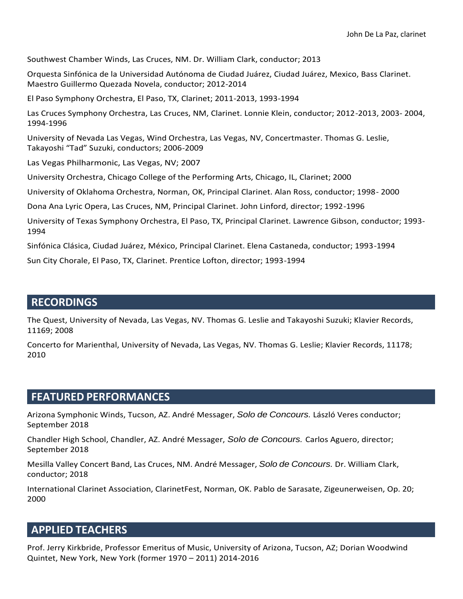Southwest Chamber Winds, Las Cruces, NM. Dr. William Clark, conductor; 2013

Orquesta Sinfónica de la Universidad Autónoma de Ciudad Juárez, Ciudad Juárez, Mexico, Bass Clarinet. Maestro Guillermo Quezada Novela, conductor; 2012-2014

El Paso Symphony Orchestra, El Paso, TX, Clarinet; 2011-2013, 1993-1994

Las Cruces Symphony Orchestra, Las Cruces, NM, Clarinet. Lonnie Klein, conductor; 2012-2013, 2003- 2004, 1994-1996

University of Nevada Las Vegas, Wind Orchestra, Las Vegas, NV, Concertmaster. Thomas G. Leslie, Takayoshi "Tad" Suzuki, conductors; 2006-2009

Las Vegas Philharmonic, Las Vegas, NV; 2007

University Orchestra, Chicago College of the Performing Arts, Chicago, IL, Clarinet; 2000

University of Oklahoma Orchestra, Norman, OK, Principal Clarinet. Alan Ross, conductor; 1998- 2000

Dona Ana Lyric Opera, Las Cruces, NM, Principal Clarinet. John Linford, director; 1992-1996

University of Texas Symphony Orchestra, El Paso, TX, Principal Clarinet. Lawrence Gibson, conductor; 1993- 1994

Sinfónica Clásica, Ciudad Juárez, México, Principal Clarinet. Elena Castaneda, conductor; 1993-1994

Sun City Chorale, El Paso, TX, Clarinet. Prentice Lofton, director; 1993-1994

#### **RECORDINGS**

The Quest, University of Nevada, Las Vegas, NV. Thomas G. Leslie and Takayoshi Suzuki; Klavier Records, 11169; 2008

Concerto for Marienthal, University of Nevada, Las Vegas, NV. Thomas G. Leslie; Klavier Records, 11178; 2010

# **FEATURED PERFORMANCES**

Arizona Symphonic Winds, Tucson, AZ. André Messager, *Solo de Concours.* László Veres conductor; September 2018

Chandler High School, Chandler, AZ. André Messager, *Solo de Concours.* Carlos Aguero, director; September 2018

Mesilla Valley Concert Band, Las Cruces, NM. André Messager, *Solo de Concours.* Dr. William Clark, conductor; 2018

International Clarinet Association, ClarinetFest, Norman, OK. Pablo de Sarasate, Zigeunerweisen, Op. 20; 2000

#### **APPLIED TEACHERS**

Prof. Jerry Kirkbride, Professor Emeritus of Music, University of Arizona, Tucson, AZ; Dorian Woodwind Quintet, New York, New York (former 1970 – 2011) 2014-2016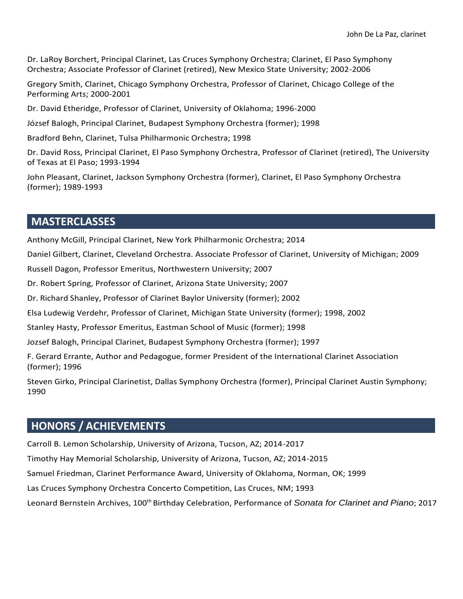Dr. LaRoy Borchert, Principal Clarinet, Las Cruces Symphony Orchestra; Clarinet, El Paso Symphony Orchestra; Associate Professor of Clarinet (retired), New Mexico State University; 2002-2006

Gregory Smith, Clarinet, Chicago Symphony Orchestra, Professor of Clarinet, Chicago College of the Performing Arts; 2000-2001

Dr. David Etheridge, Professor of Clarinet, University of Oklahoma; 1996-2000

József Balogh, Principal Clarinet, Budapest Symphony Orchestra (former); 1998

Bradford Behn, Clarinet, Tulsa Philharmonic Orchestra; 1998

Dr. David Ross, Principal Clarinet, El Paso Symphony Orchestra, Professor of Clarinet (retired), The University of Texas at El Paso; 1993-1994

John Pleasant, Clarinet, Jackson Symphony Orchestra (former), Clarinet, El Paso Symphony Orchestra (former); 1989-1993

## **MASTERCLASSES**

Anthony McGill, Principal Clarinet, New York Philharmonic Orchestra; 2014

Daniel Gilbert, Clarinet, Cleveland Orchestra. Associate Professor of Clarinet, University of Michigan; 2009

Russell Dagon, Professor Emeritus, Northwestern University; 2007

Dr. Robert Spring, Professor of Clarinet, Arizona State University; 2007

Dr. Richard Shanley, Professor of Clarinet Baylor University (former); 2002

Elsa Ludewig Verdehr, Professor of Clarinet, Michigan State University (former); 1998, 2002

Stanley Hasty, Professor Emeritus, Eastman School of Music (former); 1998

Jozsef Balogh, Principal Clarinet, Budapest Symphony Orchestra (former); 1997

F. Gerard Errante, Author and Pedagogue, former President of the International Clarinet Association (former); 1996

Steven Girko, Principal Clarinetist, Dallas Symphony Orchestra (former), Principal Clarinet Austin Symphony; 1990

#### **HONORS / ACHIEVEMENTS**

Carroll B. Lemon Scholarship, University of Arizona, Tucson, AZ; 2014-2017

Timothy Hay Memorial Scholarship, University of Arizona, Tucson, AZ; 2014-2015

Samuel Friedman, Clarinet Performance Award, University of Oklahoma, Norman, OK; 1999

Las Cruces Symphony Orchestra Concerto Competition, Las Cruces, NM; 1993

Leonard Bernstein Archives, 100th Birthday Celebration, Performance of *Sonata for Clarinet and Piano*; 2017